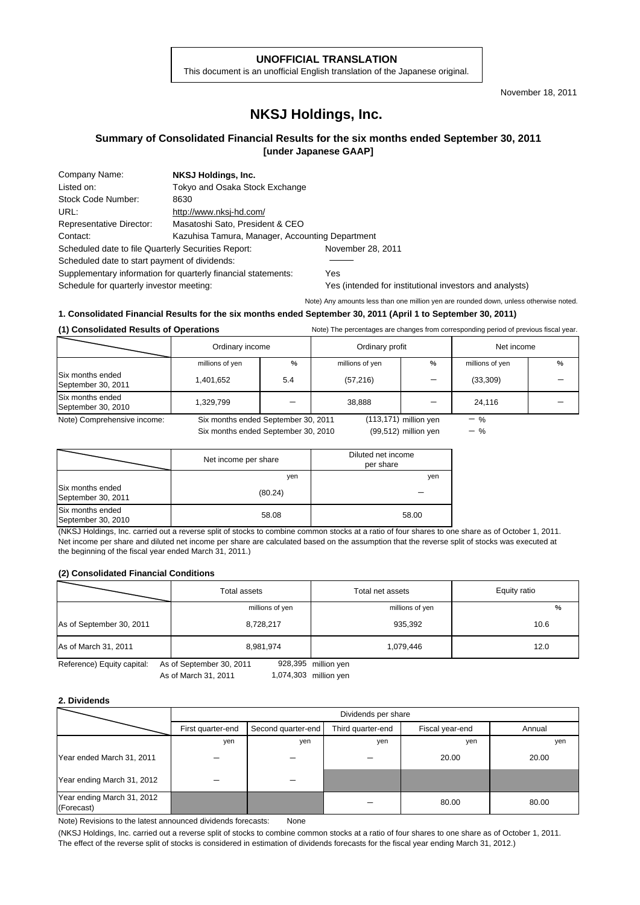#### **UNOFFICIAL TRANSLATION**

This document is an unofficial English translation of the Japanese original.

November 18, 2011

## **NKSJ Holdings, Inc.**

#### **Summary of Consolidated Financial Results for the six months ended September 30, 2011 [under Japanese GAAP]**

| Company Name:                                       | NKSJ Holdings, Inc.                             |                   |  |
|-----------------------------------------------------|-------------------------------------------------|-------------------|--|
| Listed on:                                          | Tokyo and Osaka Stock Exchange                  |                   |  |
| Stock Code Number:                                  | 8630                                            |                   |  |
| URL:                                                | http://www.nksj-hd.com/                         |                   |  |
| <b>Representative Director:</b>                     | Masatoshi Sato, President & CEO                 |                   |  |
| Contact:                                            | Kazuhisa Tamura, Manager, Accounting Department |                   |  |
| Scheduled date to file Quarterly Securities Report: |                                                 | November 28, 2011 |  |
| Scheduled date to start payment of dividends:       |                                                 |                   |  |
|                                                     |                                                 |                   |  |

Supplementary information for quarterly financial statements: Yes

Schedule for quarterly investor meeting: Yes (intended for institutional investors and analysts)

Note) Any amounts less than one million yen are rounded down, unless otherwise noted.

### **1. Consolidated Financial Results for the six months ended September 30, 2011 (April 1 to September 30, 2011)**

| U CONSUNDADE RESULTS OF OPERATIONS<br>rrote) The percentages are changes from corresponding period or previous histaryear. |                                     |                                                  |                 |                          |                 |   |
|----------------------------------------------------------------------------------------------------------------------------|-------------------------------------|--------------------------------------------------|-----------------|--------------------------|-----------------|---|
|                                                                                                                            |                                     | Ordinary income<br>Net income<br>Ordinary profit |                 |                          |                 |   |
|                                                                                                                            | millions of yen                     | $\%$                                             | millions of yen | $\%$                     | millions of yen | % |
| Six months ended<br>September 30, 2011                                                                                     | 1,401,652                           | 5.4                                              | (57, 216)       |                          | (33,309)        |   |
| Six months ended<br>September 30, 2010                                                                                     | 1,329,799                           |                                                  | 38.888          |                          | 24,116          |   |
| Note) Comprehensive income:                                                                                                | Six months ended September 30, 2011 |                                                  |                 | $(113, 171)$ million yen | $-$ %           |   |
|                                                                                                                            | Six months ended September 30, 2010 |                                                  |                 | $(99,512)$ million yen   | $-$ %           |   |

**(1) Consolidated Results of Operations** Note) The percentages are changes from corresponding period of previous fiscal year.

|                                        | Net income per share | Diluted net income<br>per share |
|----------------------------------------|----------------------|---------------------------------|
|                                        | yen                  | yen                             |
| Six months ended<br>September 30, 2011 | (80.24)              |                                 |
| Six months ended<br>September 30, 2010 | 58.08                | 58.00                           |

(NKSJ Holdings, Inc. carried out a reverse split of stocks to combine common stocks at a ratio of four shares to one share as of October 1, 2011. Net income per share and diluted net income per share are calculated based on the assumption that the reverse split of stocks was executed at the beginning of the fiscal year ended March 31, 2011.)

#### **(2) Consolidated Financial Conditions**

|                                                                               | Total assets    | Total net assets | Equity ratio |  |  |
|-------------------------------------------------------------------------------|-----------------|------------------|--------------|--|--|
|                                                                               | millions of yen | millions of yen  | $\%$         |  |  |
| As of September 30, 2011                                                      | 8,728,217       | 935,392          | 10.6         |  |  |
| As of March 31, 2011                                                          | 8,981,974       | 1,079,446        | 12.0         |  |  |
| 928,395 million yen<br>Reference) Equity capital:<br>As of September 30, 2011 |                 |                  |              |  |  |

As of March 31, 2011

1,074,303

#### **2. Dividends**

|                                          | Dividends per share                                                             |     |     |       |        |  |
|------------------------------------------|---------------------------------------------------------------------------------|-----|-----|-------|--------|--|
|                                          | Third quarter-end<br>Fiscal year-end<br>Second quarter-end<br>First quarter-end |     |     |       | Annual |  |
|                                          | yen                                                                             | yen | yen | yen   | yen    |  |
| Year ended March 31, 2011                |                                                                                 |     |     | 20.00 | 20.00  |  |
| Year ending March 31, 2012               |                                                                                 |     |     |       |        |  |
| Year ending March 31, 2012<br>(Forecast) |                                                                                 |     |     | 80.00 | 80.00  |  |

Note) Revisions to the latest announced dividends forecasts: None

(NKSJ Holdings, Inc. carried out a reverse split of stocks to combine common stocks at a ratio of four shares to one share as of October 1, 2011. The effect of the reverse split of stocks is considered in estimation of dividends forecasts for the fiscal year ending March 31, 2012.)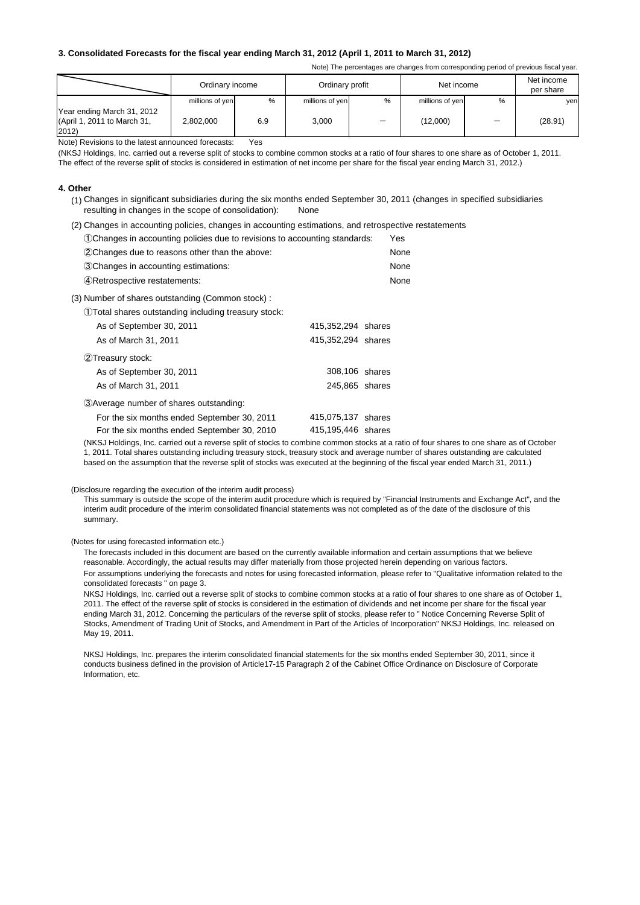#### **3. Consolidated Forecasts for the fiscal year ending March 31, 2012 (April 1, 2011 to March 31, 2012)**

Note) The percentages are changes from corresponding period of previous fiscal year.

|                                                                    | Ordinary income |               | Ordinary profit |                          | Net income      |   | Net income<br>per share |
|--------------------------------------------------------------------|-----------------|---------------|-----------------|--------------------------|-----------------|---|-------------------------|
|                                                                    | millions of yen | $\frac{0}{0}$ | millions of yen | %                        | millions of yen | % | yen                     |
| Year ending March 31, 2012<br>(April 1, 2011 to March 31,<br>2012) | 2,802,000       | 6.9           | 3.000           | $\overline{\phantom{m}}$ | (12,000)        |   | (28.91)                 |

Note) Revisions to the latest announced forecasts: Yes

(NKSJ Holdings, Inc. carried out a reverse split of stocks to combine common stocks at a ratio of four shares to one share as of October 1, 2011. The effect of the reverse split of stocks is considered in estimation of net income per share for the fiscal year ending March 31, 2012.)

#### **4. Other**

- (1) Changes in significant subsidiaries during the six months ended September 30, 2011 (changes in specified subsidiaries resulting in changes in the scope of consolidation): None
- (2) Changes in accounting policies, changes in accounting estimations, and retrospective restatements

| (1) Changes in accounting policies due to revisions to accounting standards: | Yes  |
|------------------------------------------------------------------------------|------|
| 2 Changes due to reasons other than the above:                               | None |
| 3. Changes in accounting estimations:                                        | None |
| (4) Retrospective restatements:                                              | None |
| (3) Number of shares outstanding (Common stock):                             |      |
| (1) Total shares outstanding including treasury stock:                       |      |
| 415,352,294 shares<br>As of September 30, 2011                               |      |
| 415.352.294 shares<br>As of March 31, 2011                                   |      |
|                                                                              |      |

| 2Treasury stock:                            |                    |  |
|---------------------------------------------|--------------------|--|
| As of September 30, 2011                    | 308,106 shares     |  |
| As of March 31, 2011                        | 245,865 shares     |  |
| 3) Average number of shares outstanding:    |                    |  |
| For the six months ended September 30, 2011 | 415,075,137 shares |  |
| For the six months ended September 30, 2010 | 415,195,446 shares |  |

(NKSJ Holdings, Inc. carried out a reverse split of stocks to combine common stocks at a ratio of four shares to one share as of October 1, 2011. Total shares outstanding including treasury stock, treasury stock and average number of shares outstanding are calculated based on the assumption that the reverse split of stocks was executed at the beginning of the fiscal year ended March 31, 2011.)

(Disclosure regarding the execution of the interim audit process)

This summary is outside the scope of the interim audit procedure which is required by "Financial Instruments and Exchange Act", and the interim audit procedure of the interim consolidated financial statements was not completed as of the date of the disclosure of this summary.

(Notes for using forecasted information etc.)

The forecasts included in this document are based on the currently available information and certain assumptions that we believe reasonable. Accordingly, the actual results may differ materially from those projected herein depending on various factors. For assumptions underlying the forecasts and notes for using forecasted information, please refer to "Qualitative information related to the consolidated forecasts " on page 3.

NKSJ Holdings, Inc. carried out a reverse split of stocks to combine common stocks at a ratio of four shares to one share as of October 1, 2011. The effect of the reverse split of stocks is considered in the estimation of dividends and net income per share for the fiscal year ending March 31, 2012. Concerning the particulars of the reverse split of stocks, please refer to " Notice Concerning Reverse Split of Stocks, Amendment of Trading Unit of Stocks, and Amendment in Part of the Articles of Incorporation" NKSJ Holdings, Inc. released on May 19, 2011.

NKSJ Holdings, Inc. prepares the interim consolidated financial statements for the six months ended September 30, 2011, since it conducts business defined in the provision of Article17-15 Paragraph 2 of the Cabinet Office Ordinance on Disclosure of Corporate Information, etc.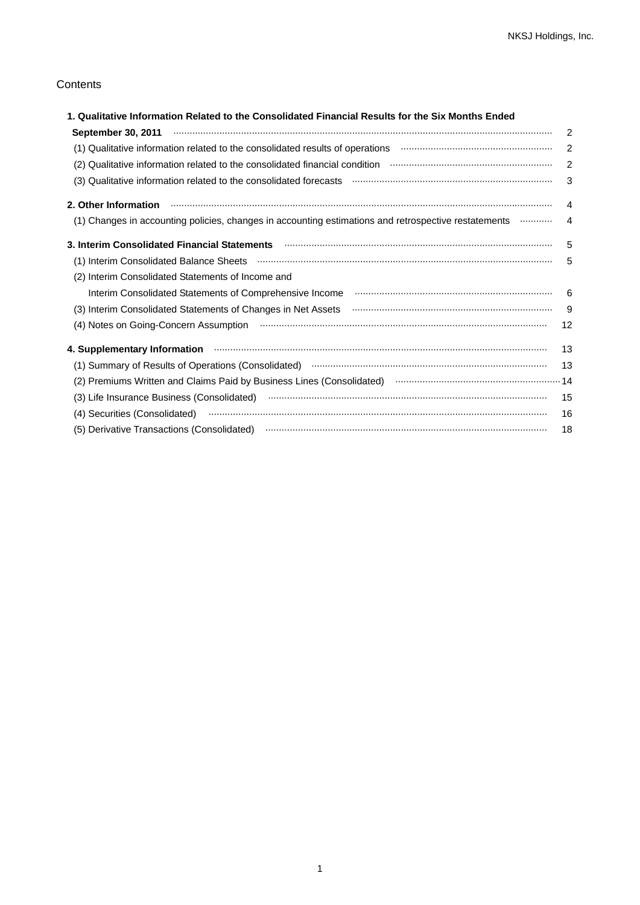### **Contents**

| 1. Qualitative Information Related to the Consolidated Financial Results for the Six Months Ended              |               |
|----------------------------------------------------------------------------------------------------------------|---------------|
| September 30, 2011 <b>With the Construction of the Construction</b> of the September 30, 2011                  | $\mathcal{P}$ |
| (1) Qualitative information related to the consolidated results of operations manufacture information related  | 2             |
| (2) Qualitative information related to the consolidated financial condition manufactor manufacture information | 2             |
|                                                                                                                | 3             |
|                                                                                                                | 4             |
| (1) Changes in accounting policies, changes in accounting estimations and retrospective restatements manu-     | 4             |
|                                                                                                                | 5             |
|                                                                                                                | 5             |
| (2) Interim Consolidated Statements of Income and                                                              |               |
| Interim Consolidated Statements of Comprehensive Income manufactured and consumer manufactured and             | 6             |
|                                                                                                                | -9            |
|                                                                                                                | 12            |
| 4. Supplementary Information <b>www.communication.communication</b> and Supplementary Information              | 13            |
|                                                                                                                | 13            |
| (2) Premiums Written and Claims Paid by Business Lines (Consolidated) manual content content and 14            |               |
|                                                                                                                | 15            |
|                                                                                                                | 16            |
|                                                                                                                | 18            |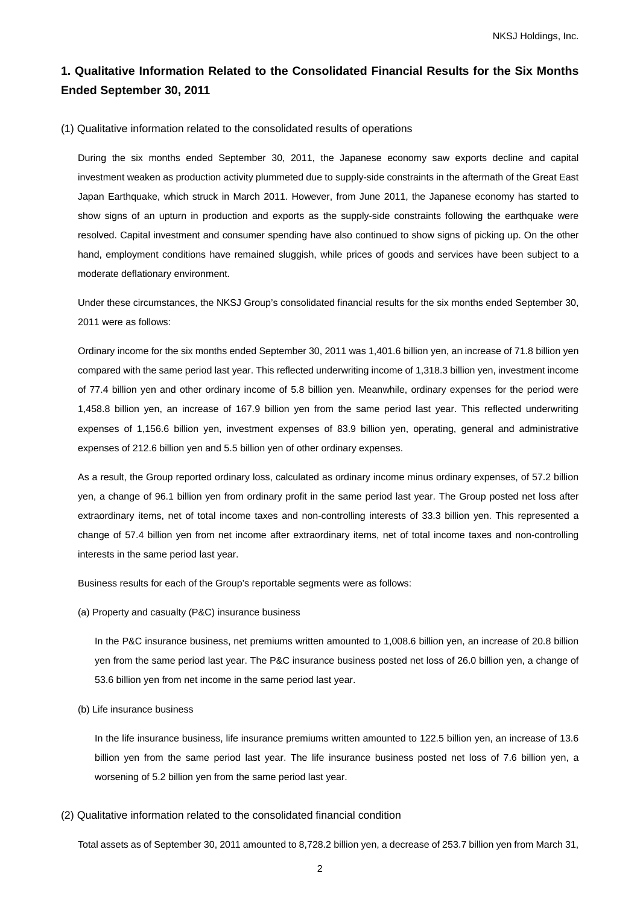# **1. Qualitative Information Related to the Consolidated Financial Results for the Six Months Ended September 30, 2011**

#### (1) Qualitative information related to the consolidated results of operations

During the six months ended September 30, 2011, the Japanese economy saw exports decline and capital investment weaken as production activity plummeted due to supply-side constraints in the aftermath of the Great East Japan Earthquake, which struck in March 2011. However, from June 2011, the Japanese economy has started to show signs of an upturn in production and exports as the supply-side constraints following the earthquake were resolved. Capital investment and consumer spending have also continued to show signs of picking up. On the other hand, employment conditions have remained sluggish, while prices of goods and services have been subject to a moderate deflationary environment.

Under these circumstances, the NKSJ Group's consolidated financial results for the six months ended September 30, 2011 were as follows:

Ordinary income for the six months ended September 30, 2011 was 1,401.6 billion yen, an increase of 71.8 billion yen compared with the same period last year. This reflected underwriting income of 1,318.3 billion yen, investment income of 77.4 billion yen and other ordinary income of 5.8 billion yen. Meanwhile, ordinary expenses for the period were 1,458.8 billion yen, an increase of 167.9 billion yen from the same period last year. This reflected underwriting expenses of 1,156.6 billion yen, investment expenses of 83.9 billion yen, operating, general and administrative expenses of 212.6 billion yen and 5.5 billion yen of other ordinary expenses.

As a result, the Group reported ordinary loss, calculated as ordinary income minus ordinary expenses, of 57.2 billion yen, a change of 96.1 billion yen from ordinary profit in the same period last year. The Group posted net loss after extraordinary items, net of total income taxes and non-controlling interests of 33.3 billion yen. This represented a change of 57.4 billion yen from net income after extraordinary items, net of total income taxes and non-controlling interests in the same period last year.

Business results for each of the Group's reportable segments were as follows:

(a) Property and casualty (P&C) insurance business

In the P&C insurance business, net premiums written amounted to 1,008.6 billion yen, an increase of 20.8 billion yen from the same period last year. The P&C insurance business posted net loss of 26.0 billion yen, a change of 53.6 billion yen from net income in the same period last year.

(b) Life insurance business

In the life insurance business, life insurance premiums written amounted to 122.5 billion yen, an increase of 13.6 billion yen from the same period last year. The life insurance business posted net loss of 7.6 billion yen, a worsening of 5.2 billion yen from the same period last year.

(2) Qualitative information related to the consolidated financial condition

Total assets as of September 30, 2011 amounted to 8,728.2 billion yen, a decrease of 253.7 billion yen from March 31,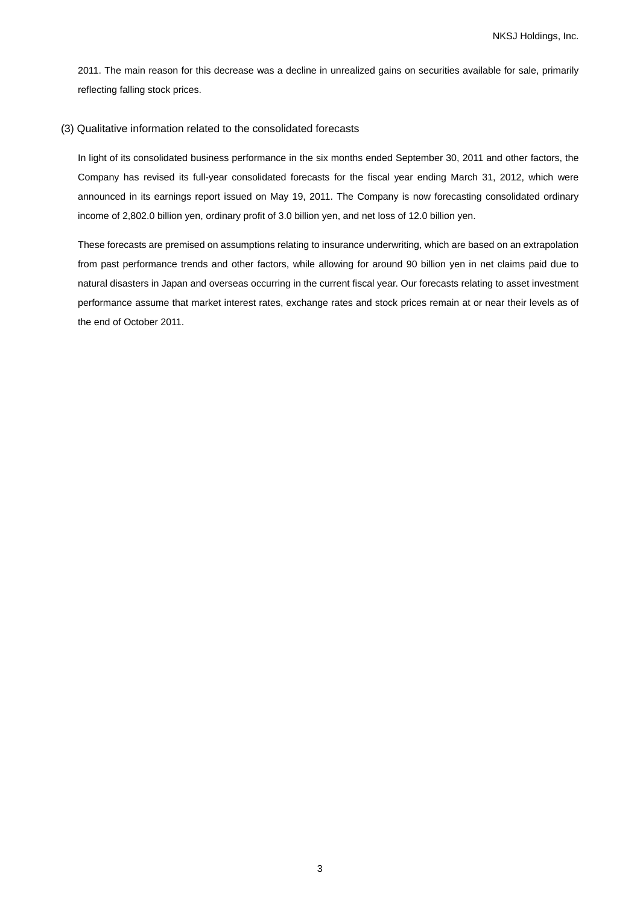2011. The main reason for this decrease was a decline in unrealized gains on securities available for sale, primarily reflecting falling stock prices.

#### (3) Qualitative information related to the consolidated forecasts

In light of its consolidated business performance in the six months ended September 30, 2011 and other factors, the Company has revised its full-year consolidated forecasts for the fiscal year ending March 31, 2012, which were announced in its earnings report issued on May 19, 2011. The Company is now forecasting consolidated ordinary income of 2,802.0 billion yen, ordinary profit of 3.0 billion yen, and net loss of 12.0 billion yen.

These forecasts are premised on assumptions relating to insurance underwriting, which are based on an extrapolation from past performance trends and other factors, while allowing for around 90 billion yen in net claims paid due to natural disasters in Japan and overseas occurring in the current fiscal year. Our forecasts relating to asset investment performance assume that market interest rates, exchange rates and stock prices remain at or near their levels as of the end of October 2011.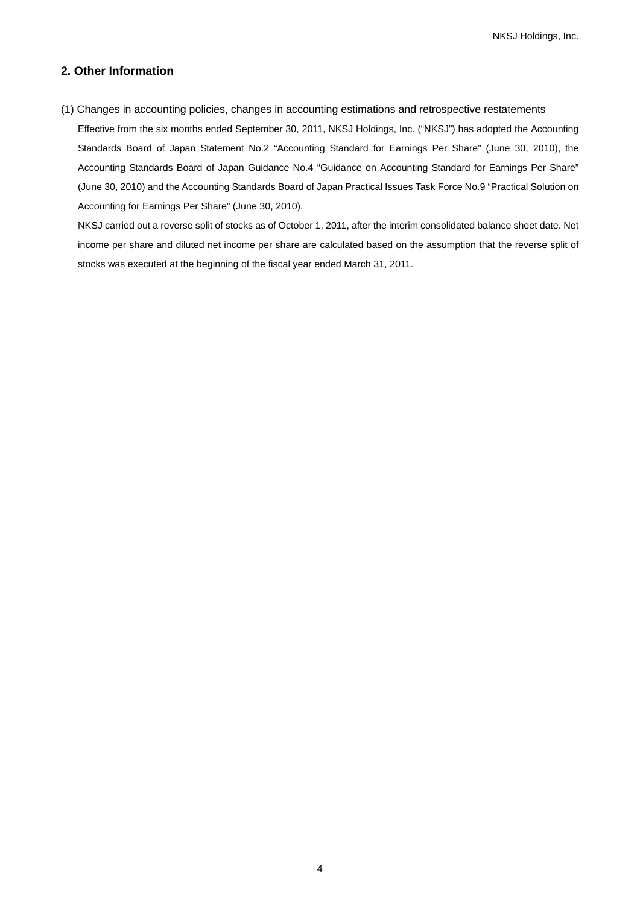NKSJ Holdings, Inc.

### **2. Other Information**

(1) Changes in accounting policies, changes in accounting estimations and retrospective restatements Effective from the six months ended September 30, 2011, NKSJ Holdings, Inc. ("NKSJ") has adopted the Accounting Standards Board of Japan Statement No.2 "Accounting Standard for Earnings Per Share" (June 30, 2010), the Accounting Standards Board of Japan Guidance No.4 "Guidance on Accounting Standard for Earnings Per Share" (June 30, 2010) and the Accounting Standards Board of Japan Practical Issues Task Force No.9 "Practical Solution on Accounting for Earnings Per Share" (June 30, 2010).

NKSJ carried out a reverse split of stocks as of October 1, 2011, after the interim consolidated balance sheet date. Net income per share and diluted net income per share are calculated based on the assumption that the reverse split of stocks was executed at the beginning of the fiscal year ended March 31, 2011.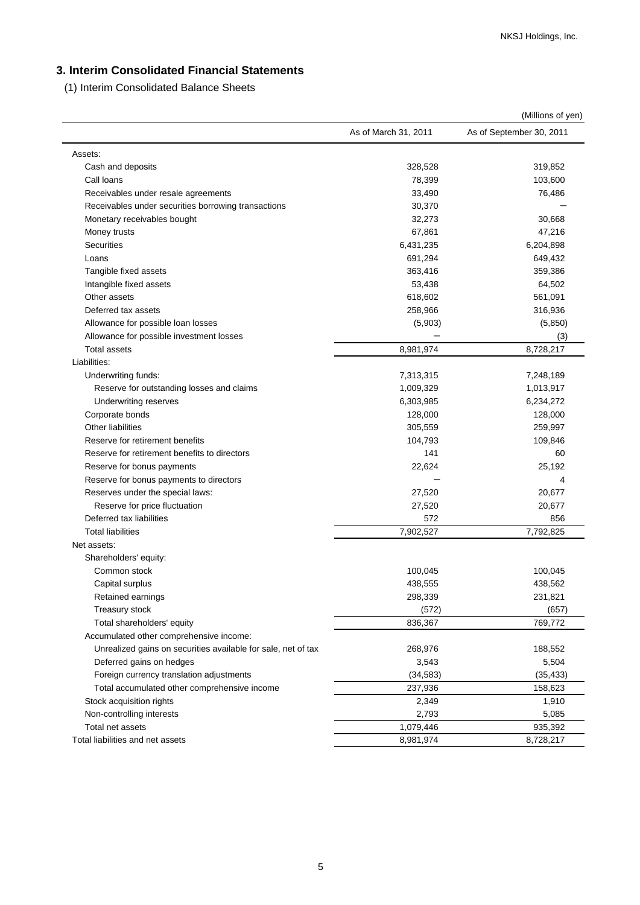# **3. Interim Consolidated Financial Statements**

(1) Interim Consolidated Balance Sheets

|                                                               |                      | (Millions of yen)        |
|---------------------------------------------------------------|----------------------|--------------------------|
|                                                               | As of March 31, 2011 | As of September 30, 2011 |
| Assets:                                                       |                      |                          |
| Cash and deposits                                             | 328,528              | 319,852                  |
| Call loans                                                    | 78,399               | 103,600                  |
| Receivables under resale agreements                           | 33,490               | 76,486                   |
| Receivables under securities borrowing transactions           | 30,370               |                          |
| Monetary receivables bought                                   | 32,273               | 30,668                   |
| Money trusts                                                  | 67,861               | 47,216                   |
| <b>Securities</b>                                             | 6,431,235            | 6,204,898                |
| Loans                                                         | 691,294              | 649,432                  |
| Tangible fixed assets                                         | 363,416              | 359,386                  |
| Intangible fixed assets                                       | 53,438               | 64,502                   |
| Other assets                                                  | 618,602              | 561,091                  |
| Deferred tax assets                                           | 258,966              | 316,936                  |
| Allowance for possible loan losses                            | (5,903)              | (5,850)                  |
| Allowance for possible investment losses                      |                      | (3)                      |
| <b>Total assets</b>                                           | 8,981,974            | 8,728,217                |
| Liabilities:                                                  |                      |                          |
| Underwriting funds:                                           | 7,313,315            | 7,248,189                |
| Reserve for outstanding losses and claims                     | 1,009,329            | 1,013,917                |
| Underwriting reserves                                         | 6,303,985            | 6,234,272                |
| Corporate bonds                                               | 128,000              | 128,000                  |
| <b>Other liabilities</b>                                      | 305,559              | 259,997                  |
| Reserve for retirement benefits                               | 104,793              | 109,846                  |
| Reserve for retirement benefits to directors                  | 141                  | 60                       |
| Reserve for bonus payments                                    | 22,624               | 25,192                   |
| Reserve for bonus payments to directors                       |                      | 4                        |
| Reserves under the special laws:                              | 27,520               | 20,677                   |
|                                                               |                      | 20,677                   |
| Reserve for price fluctuation<br>Deferred tax liabilities     | 27,520<br>572        | 856                      |
| <b>Total liabilities</b>                                      | 7,902,527            | 7,792,825                |
|                                                               |                      |                          |
| Net assets:                                                   |                      |                          |
| Shareholders' equity:                                         |                      |                          |
| Common stock                                                  | 100,045              | 100,045                  |
| Capital surplus                                               | 438,555              | 438,562                  |
| Retained earnings                                             | 298,339              | 231,821                  |
| Treasury stock                                                | (572)                | (657)                    |
| Total shareholders' equity                                    | 836,367              | 769,772                  |
| Accumulated other comprehensive income:                       |                      |                          |
| Unrealized gains on securities available for sale, net of tax | 268,976              | 188,552                  |
| Deferred gains on hedges                                      | 3,543                | 5,504                    |
| Foreign currency translation adjustments                      | (34, 583)            | (35, 433)                |
| Total accumulated other comprehensive income                  | 237,936              | 158,623                  |
| Stock acquisition rights                                      | 2,349                | 1,910                    |
| Non-controlling interests                                     | 2,793                | 5,085                    |
| Total net assets                                              | 1,079,446            | 935,392                  |
| Total liabilities and net assets                              | 8,981,974            | 8,728,217                |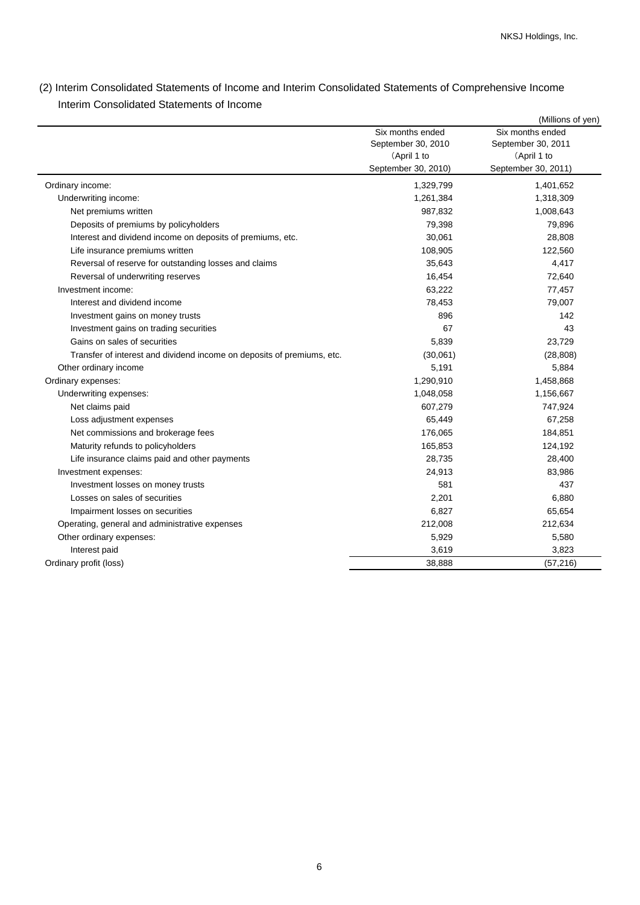(2) Interim Consolidated Statements of Income and Interim Consolidated Statements of Comprehensive Income Interim Consolidated Statements of Income

|                                                                        |                     | (Millions of yen)   |
|------------------------------------------------------------------------|---------------------|---------------------|
|                                                                        | Six months ended    | Six months ended    |
|                                                                        | September 30, 2010  | September 30, 2011  |
|                                                                        | (April 1 to         | (April 1 to         |
|                                                                        | September 30, 2010) | September 30, 2011) |
| Ordinary income:                                                       | 1,329,799           | 1,401,652           |
| Underwriting income:                                                   | 1,261,384           | 1,318,309           |
| Net premiums written                                                   | 987,832             | 1,008,643           |
| Deposits of premiums by policyholders                                  | 79,398              | 79,896              |
| Interest and dividend income on deposits of premiums, etc.             | 30,061              | 28,808              |
| Life insurance premiums written                                        | 108,905             | 122,560             |
| Reversal of reserve for outstanding losses and claims                  | 35,643              | 4,417               |
| Reversal of underwriting reserves                                      | 16,454              | 72,640              |
| Investment income:                                                     | 63,222              | 77,457              |
| Interest and dividend income                                           | 78,453              | 79,007              |
| Investment gains on money trusts                                       | 896                 | 142                 |
| Investment gains on trading securities                                 | 67                  | 43                  |
| Gains on sales of securities                                           | 5,839               | 23,729              |
| Transfer of interest and dividend income on deposits of premiums, etc. | (30,061)            | (28, 808)           |
| Other ordinary income                                                  | 5,191               | 5,884               |
| Ordinary expenses:                                                     | 1,290,910           | 1,458,868           |
| Underwriting expenses:                                                 | 1,048,058           | 1,156,667           |
| Net claims paid                                                        | 607,279             | 747,924             |
| Loss adjustment expenses                                               | 65,449              | 67,258              |
| Net commissions and brokerage fees                                     | 176,065             | 184,851             |
| Maturity refunds to policyholders                                      | 165,853             | 124,192             |
| Life insurance claims paid and other payments                          | 28,735              | 28,400              |
| Investment expenses:                                                   | 24,913              | 83,986              |
| Investment losses on money trusts                                      | 581                 | 437                 |
| Losses on sales of securities                                          | 2,201               | 6,880               |
| Impairment losses on securities                                        | 6,827               | 65,654              |
| Operating, general and administrative expenses                         | 212,008             | 212,634             |
| Other ordinary expenses:                                               | 5,929               | 5,580               |
| Interest paid                                                          | 3,619               | 3,823               |
| Ordinary profit (loss)                                                 | 38,888              | (57, 216)           |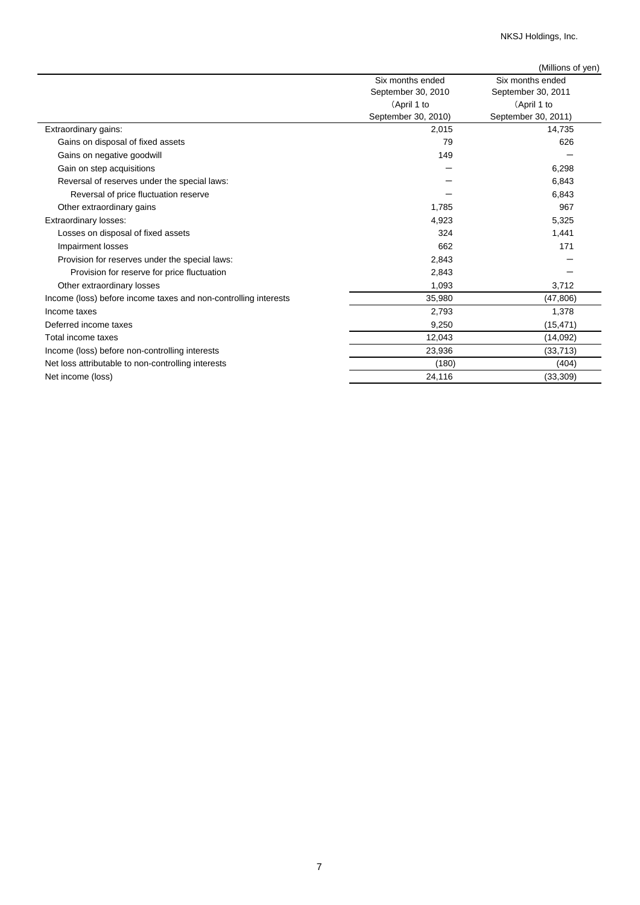NKSJ Holdings, Inc.

|                                                                 |                     | (Millions of yen)   |
|-----------------------------------------------------------------|---------------------|---------------------|
|                                                                 | Six months ended    | Six months ended    |
|                                                                 | September 30, 2010  | September 30, 2011  |
|                                                                 | (April 1 to         | (April 1 to         |
|                                                                 | September 30, 2010) | September 30, 2011) |
| Extraordinary gains:                                            | 2,015               | 14,735              |
| Gains on disposal of fixed assets                               | 79                  | 626                 |
| Gains on negative goodwill                                      | 149                 |                     |
| Gain on step acquisitions                                       |                     | 6,298               |
| Reversal of reserves under the special laws:                    |                     | 6,843               |
| Reversal of price fluctuation reserve                           |                     | 6,843               |
| Other extraordinary gains                                       | 1,785               | 967                 |
| Extraordinary losses:                                           | 4,923               | 5,325               |
| Losses on disposal of fixed assets                              | 324                 | 1,441               |
| Impairment losses                                               | 662                 | 171                 |
| Provision for reserves under the special laws:                  | 2,843               |                     |
| Provision for reserve for price fluctuation                     | 2,843               |                     |
| Other extraordinary losses                                      | 1,093               | 3,712               |
| Income (loss) before income taxes and non-controlling interests | 35,980              | (47, 806)           |
| Income taxes                                                    | 2,793               | 1,378               |
| Deferred income taxes                                           | 9,250               | (15, 471)           |
| Total income taxes                                              | 12,043              | (14,092)            |
| Income (loss) before non-controlling interests                  | 23,936              | (33, 713)           |
| Net loss attributable to non-controlling interests              | (180)               | (404)               |
| Net income (loss)                                               | 24,116              | (33, 309)           |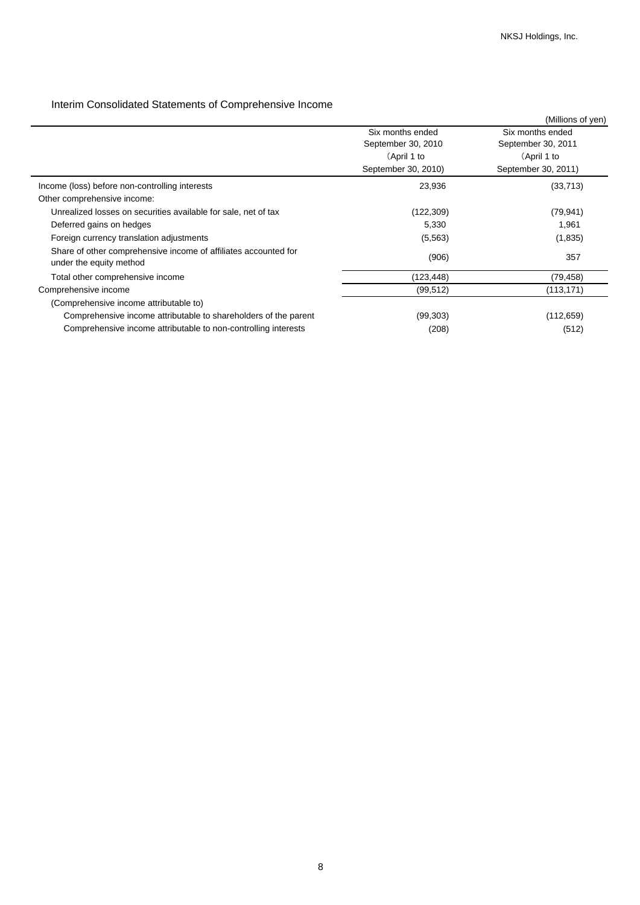# Interim Consolidated Statements of Comprehensive Income

|                                                                                            |                     | (Millions of yen)   |
|--------------------------------------------------------------------------------------------|---------------------|---------------------|
|                                                                                            | Six months ended    | Six months ended    |
|                                                                                            | September 30, 2010  | September 30, 2011  |
|                                                                                            | (April 1 to         | (April 1 to         |
|                                                                                            | September 30, 2010) | September 30, 2011) |
| Income (loss) before non-controlling interests                                             | 23,936              | (33, 713)           |
| Other comprehensive income:                                                                |                     |                     |
| Unrealized losses on securities available for sale, net of tax                             | (122, 309)          | (79, 941)           |
| Deferred gains on hedges                                                                   | 5,330               | 1,961               |
| Foreign currency translation adjustments                                                   | (5, 563)            | (1,835)             |
| Share of other comprehensive income of affiliates accounted for<br>under the equity method | (906)               | 357                 |
| Total other comprehensive income                                                           | (123, 448)          | (79, 458)           |
| Comprehensive income                                                                       | (99, 512)           | (113, 171)          |
| (Comprehensive income attributable to)                                                     |                     |                     |
| Comprehensive income attributable to shareholders of the parent                            | (99, 303)           | (112, 659)          |
| Comprehensive income attributable to non-controlling interests                             | (208)               | (512)               |
|                                                                                            |                     |                     |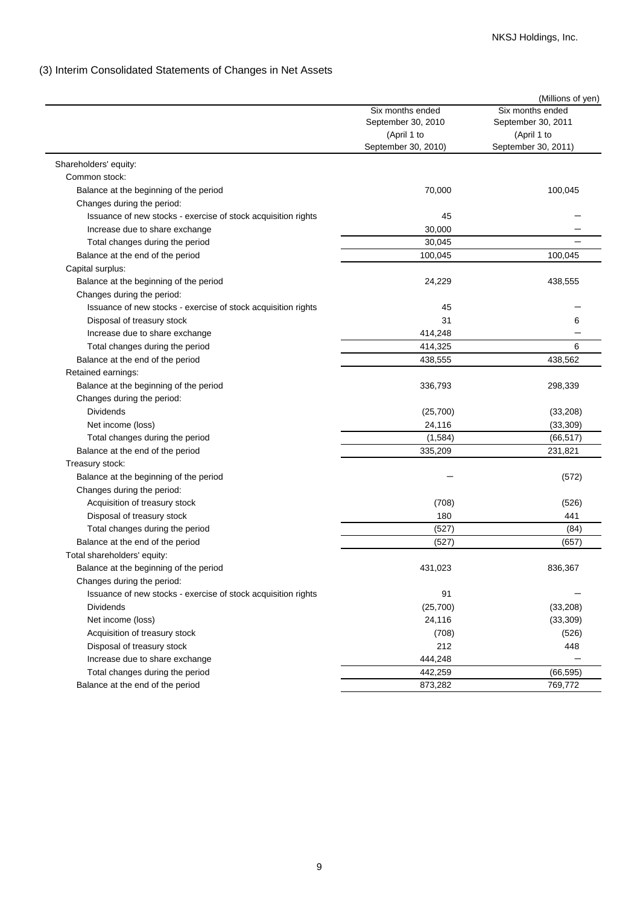## (3) Interim Consolidated Statements of Changes in Net Assets

|                                                               |                     | (Millions of yen)   |
|---------------------------------------------------------------|---------------------|---------------------|
|                                                               | Six months ended    | Six months ended    |
|                                                               | September 30, 2010  | September 30, 2011  |
|                                                               | (April 1 to         | (April 1 to         |
|                                                               | September 30, 2010) | September 30, 2011) |
| Shareholders' equity:                                         |                     |                     |
| Common stock:                                                 |                     |                     |
| Balance at the beginning of the period                        | 70,000              | 100,045             |
| Changes during the period:                                    |                     |                     |
| Issuance of new stocks - exercise of stock acquisition rights | 45                  |                     |
| Increase due to share exchange                                | 30.000              |                     |
| Total changes during the period                               | 30,045              |                     |
| Balance at the end of the period                              | 100,045             | 100,045             |
| Capital surplus:                                              |                     |                     |
| Balance at the beginning of the period                        | 24,229              | 438,555             |
| Changes during the period:                                    |                     |                     |
| Issuance of new stocks - exercise of stock acquisition rights | 45                  |                     |
| Disposal of treasury stock                                    | 31                  | 6                   |
| Increase due to share exchange                                | 414,248             |                     |
| Total changes during the period                               | 414,325             | 6                   |
| Balance at the end of the period                              | 438,555             | 438,562             |
| Retained earnings:                                            |                     |                     |
| Balance at the beginning of the period                        | 336,793             | 298,339             |
| Changes during the period:                                    |                     |                     |
| <b>Dividends</b>                                              | (25,700)            | (33, 208)           |
| Net income (loss)                                             | 24,116              | (33, 309)           |
| Total changes during the period                               | (1,584)             | (66, 517)           |
| Balance at the end of the period                              | 335,209             | 231,821             |
| Treasury stock:                                               |                     |                     |
| Balance at the beginning of the period                        |                     | (572)               |
| Changes during the period:                                    |                     |                     |
| Acquisition of treasury stock                                 | (708)               | (526)               |
| Disposal of treasury stock                                    | 180                 | 441                 |
| Total changes during the period                               | (527)               | (84)                |
| Balance at the end of the period                              | (527)               | (657)               |
| Total shareholders' equity:                                   |                     |                     |
| Balance at the beginning of the period                        | 431,023             | 836,367             |
| Changes during the period:                                    |                     |                     |
| Issuance of new stocks - exercise of stock acquisition rights | 91                  |                     |
| <b>Dividends</b>                                              | (25,700)            | (33, 208)           |
| Net income (loss)                                             | 24,116              | (33, 309)           |
| Acquisition of treasury stock                                 | (708)               | (526)               |
| Disposal of treasury stock                                    | 212                 | 448                 |
| Increase due to share exchange                                | 444,248             |                     |
| Total changes during the period                               | 442,259             | (66, 595)           |
| Balance at the end of the period                              | 873,282             | 769,772             |
|                                                               |                     |                     |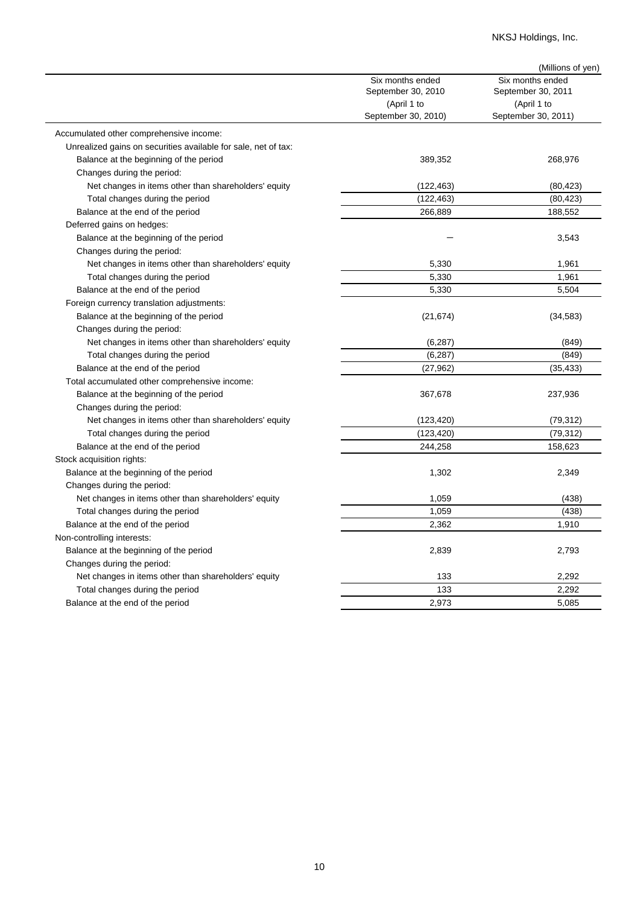## NKSJ Holdings, Inc.

|                                                                |                     | (Millions of yen)   |
|----------------------------------------------------------------|---------------------|---------------------|
|                                                                | Six months ended    | Six months ended    |
|                                                                | September 30, 2010  | September 30, 2011  |
|                                                                | (April 1 to         | (April 1 to         |
|                                                                | September 30, 2010) | September 30, 2011) |
| Accumulated other comprehensive income:                        |                     |                     |
| Unrealized gains on securities available for sale, net of tax: |                     |                     |
| Balance at the beginning of the period                         | 389,352             | 268,976             |
| Changes during the period:                                     |                     |                     |
| Net changes in items other than shareholders' equity           | (122, 463)          | (80, 423)           |
| Total changes during the period                                | (122, 463)          | (80, 423)           |
| Balance at the end of the period                               | 266,889             | 188,552             |
| Deferred gains on hedges:                                      |                     |                     |
| Balance at the beginning of the period                         |                     | 3,543               |
| Changes during the period:                                     |                     |                     |
| Net changes in items other than shareholders' equity           | 5,330               | 1,961               |
| Total changes during the period                                | 5,330               | 1,961               |
| Balance at the end of the period                               | 5,330               | 5,504               |
| Foreign currency translation adjustments:                      |                     |                     |
| Balance at the beginning of the period                         | (21, 674)           | (34, 583)           |
| Changes during the period:                                     |                     |                     |
| Net changes in items other than shareholders' equity           | (6, 287)            | (849)               |
| Total changes during the period                                | (6, 287)            | (849)               |
| Balance at the end of the period                               | (27, 962)           | (35, 433)           |
| Total accumulated other comprehensive income:                  |                     |                     |
| Balance at the beginning of the period                         | 367,678             | 237,936             |
| Changes during the period:                                     |                     |                     |
| Net changes in items other than shareholders' equity           | (123, 420)          | (79, 312)           |
| Total changes during the period                                | (123, 420)          | (79, 312)           |
| Balance at the end of the period                               | 244,258             | 158,623             |
| Stock acquisition rights:                                      |                     |                     |
| Balance at the beginning of the period                         | 1,302               | 2,349               |
| Changes during the period:                                     |                     |                     |
| Net changes in items other than shareholders' equity           | 1,059               | (438)               |
| Total changes during the period                                | 1,059               | (438)               |
| Balance at the end of the period                               | 2,362               | 1,910               |
| Non-controlling interests:                                     |                     |                     |
| Balance at the beginning of the period                         | 2,839               | 2,793               |
| Changes during the period:                                     |                     |                     |
| Net changes in items other than shareholders' equity           | 133                 | 2,292               |
| Total changes during the period                                | 133                 | 2,292               |
| Balance at the end of the period                               | 2,973               | 5,085               |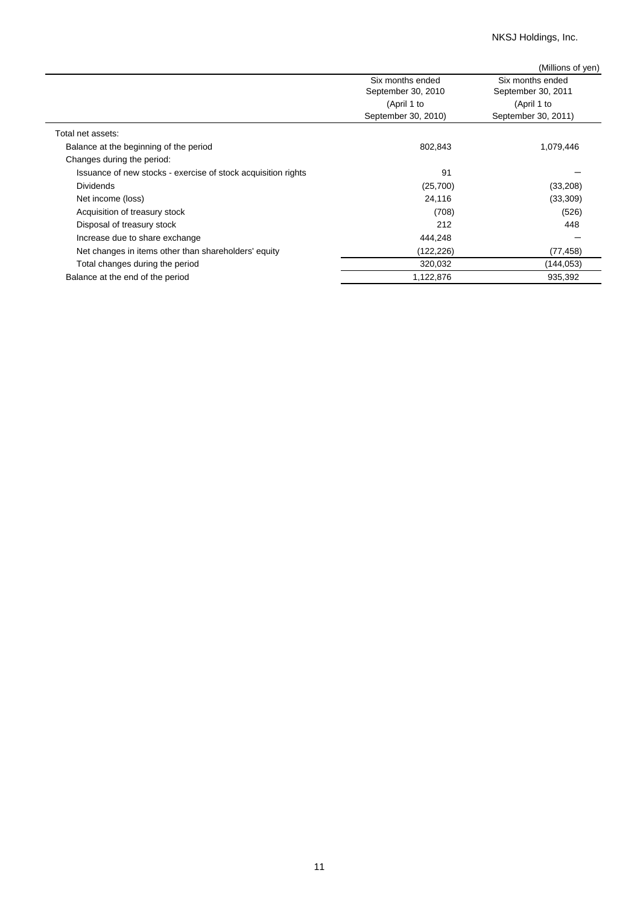NKSJ Holdings, Inc.

|                                                               |                     | (Millions of yen)   |
|---------------------------------------------------------------|---------------------|---------------------|
|                                                               | Six months ended    | Six months ended    |
|                                                               | September 30, 2010  | September 30, 2011  |
|                                                               | (April 1 to         | (April 1 to         |
|                                                               | September 30, 2010) | September 30, 2011) |
| Total net assets:                                             |                     |                     |
| Balance at the beginning of the period                        | 802,843             | 1,079,446           |
| Changes during the period:                                    |                     |                     |
| Issuance of new stocks - exercise of stock acquisition rights | 91                  |                     |
| <b>Dividends</b>                                              | (25,700)            | (33,208)            |
| Net income (loss)                                             | 24,116              | (33, 309)           |
| Acquisition of treasury stock                                 | (708)               | (526)               |
| Disposal of treasury stock                                    | 212                 | 448                 |
| Increase due to share exchange                                | 444,248             |                     |
| Net changes in items other than shareholders' equity          | (122,226)           | (77, 458)           |
| Total changes during the period                               | 320,032             | (144,053)           |
| Balance at the end of the period                              | 1,122,876           | 935,392             |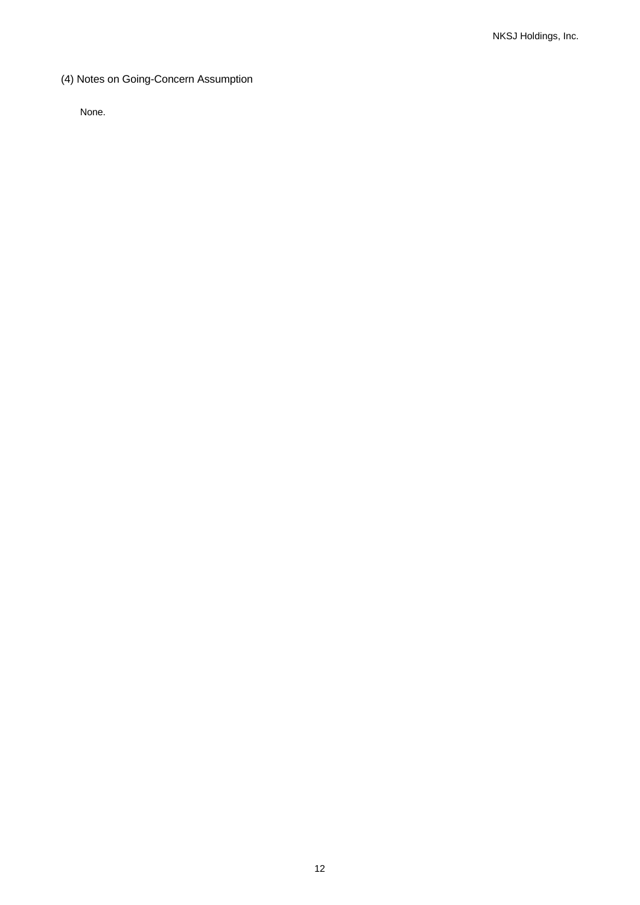(4) Notes on Going-Concern Assumption

None.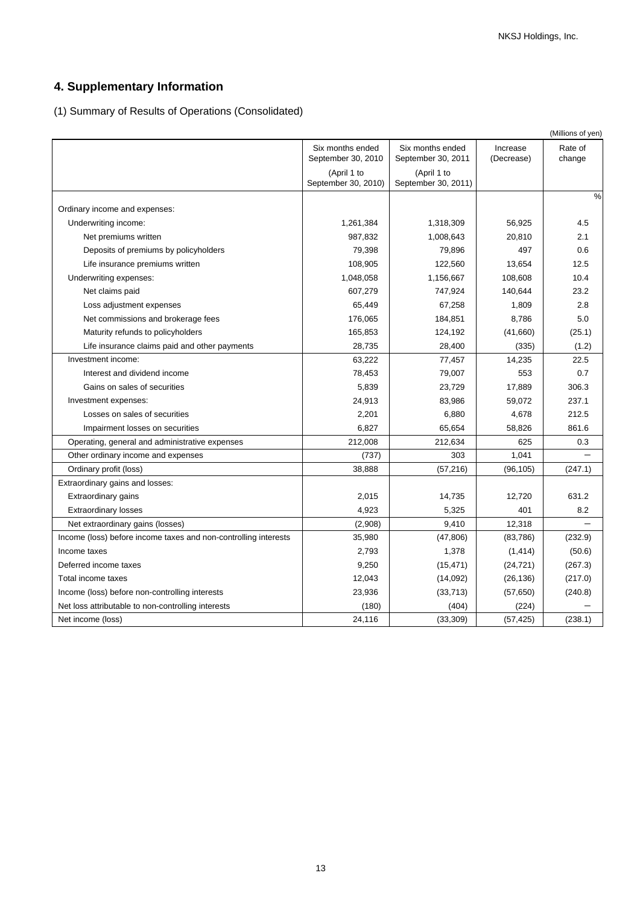# **4. Supplementary Information**

(1) Summary of Results of Operations (Consolidated)

|                                                                 |                                        |                                        |                        | (Millions of yen) |
|-----------------------------------------------------------------|----------------------------------------|----------------------------------------|------------------------|-------------------|
|                                                                 | Six months ended<br>September 30, 2010 | Six months ended<br>September 30, 2011 | Increase<br>(Decrease) | Rate of<br>change |
|                                                                 | (April 1 to<br>September 30, 2010)     | (April 1 to<br>September 30, 2011)     |                        |                   |
| Ordinary income and expenses:                                   |                                        |                                        |                        | %                 |
| Underwriting income:                                            | 1,261,384                              | 1,318,309                              | 56,925                 | 4.5               |
| Net premiums written                                            | 987,832                                | 1,008,643                              | 20,810                 | 2.1               |
| Deposits of premiums by policyholders                           | 79,398                                 | 79,896                                 | 497                    | 0.6               |
| Life insurance premiums written                                 | 108,905                                | 122,560                                | 13,654                 | 12.5              |
| Underwriting expenses:                                          | 1,048,058                              | 1,156,667                              | 108,608                | 10.4              |
| Net claims paid                                                 | 607,279                                | 747,924                                | 140,644                | 23.2              |
| Loss adjustment expenses                                        | 65,449                                 | 67,258                                 | 1,809                  | 2.8               |
| Net commissions and brokerage fees                              | 176,065                                | 184,851                                | 8,786                  | 5.0               |
| Maturity refunds to policyholders                               | 165,853                                | 124,192                                | (41,660)               | (25.1)            |
| Life insurance claims paid and other payments                   | 28,735                                 | 28,400                                 | (335)                  | (1.2)             |
| Investment income:                                              | 63,222                                 | 77,457                                 | 14,235                 | 22.5              |
| Interest and dividend income                                    | 78,453                                 | 79,007                                 | 553                    | 0.7               |
| Gains on sales of securities                                    | 5,839                                  | 23,729                                 | 17,889                 | 306.3             |
| Investment expenses:                                            | 24,913                                 | 83,986                                 | 59,072                 | 237.1             |
| Losses on sales of securities                                   | 2,201                                  | 6,880                                  | 4,678                  | 212.5             |
| Impairment losses on securities                                 | 6,827                                  | 65,654                                 | 58,826                 | 861.6             |
| Operating, general and administrative expenses                  | 212,008                                | 212,634                                | 625                    | 0.3               |
| Other ordinary income and expenses                              | (737)                                  | 303                                    | 1,041                  |                   |
| Ordinary profit (loss)                                          | 38,888                                 | (57, 216)                              | (96, 105)              | (247.1)           |
| Extraordinary gains and losses:                                 |                                        |                                        |                        |                   |
| Extraordinary gains                                             | 2,015                                  | 14,735                                 | 12,720                 | 631.2             |
| <b>Extraordinary losses</b>                                     | 4,923                                  | 5,325                                  | 401                    | 8.2               |
| Net extraordinary gains (losses)                                | (2,908)                                | 9,410                                  | 12,318                 |                   |
| Income (loss) before income taxes and non-controlling interests | 35,980                                 | (47, 806)                              | (83,786)               | (232.9)           |
| Income taxes                                                    | 2,793                                  | 1,378                                  | (1, 414)               | (50.6)            |
| Deferred income taxes                                           | 9,250                                  | (15, 471)                              | (24, 721)              | (267.3)           |
| Total income taxes                                              | 12,043                                 | (14,092)                               | (26, 136)              | (217.0)           |
| Income (loss) before non-controlling interests                  | 23,936                                 | (33, 713)                              | (57, 650)              | (240.8)           |
| Net loss attributable to non-controlling interests              | (180)                                  | (404)                                  | (224)                  |                   |
| Net income (loss)                                               | 24,116                                 | (33, 309)                              | (57, 425)              | (238.1)           |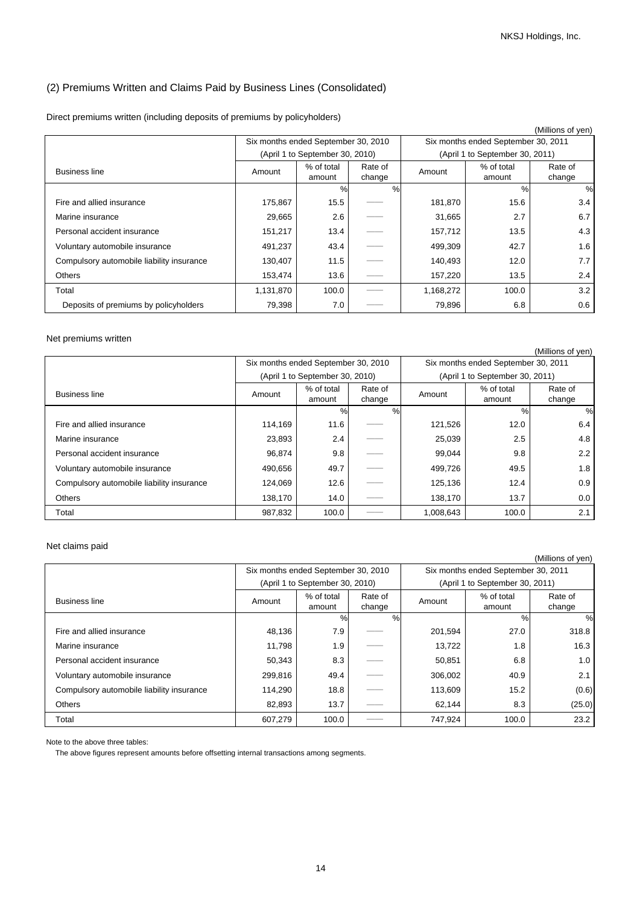## (2) Premiums Written and Claims Paid by Business Lines (Consolidated)

|  |  | Direct premiums written (including deposits of premiums by policyholders) |  |  |
|--|--|---------------------------------------------------------------------------|--|--|
|  |  |                                                                           |  |  |

|                                           |                                     |                                 |                   |           |                                     | (Millions of yen) |
|-------------------------------------------|-------------------------------------|---------------------------------|-------------------|-----------|-------------------------------------|-------------------|
|                                           | Six months ended September 30, 2010 |                                 |                   |           | Six months ended September 30, 2011 |                   |
|                                           |                                     | (April 1 to September 30, 2010) |                   |           | (April 1 to September 30, 2011)     |                   |
| <b>Business line</b>                      | Amount                              | % of total<br>amount            | Rate of<br>change | Amount    | % of total<br>amount                | Rate of<br>change |
|                                           |                                     | $\frac{0}{0}$                   | %                 |           | $\%$                                | %                 |
| Fire and allied insurance                 | 175,867                             | 15.5                            |                   | 181,870   | 15.6                                | 3.4               |
| Marine insurance                          | 29,665                              | 2.6                             |                   | 31,665    | 2.7                                 | 6.7               |
| Personal accident insurance               | 151,217                             | 13.4                            |                   | 157,712   | 13.5                                | 4.3               |
| Voluntary automobile insurance            | 491,237                             | 43.4                            |                   | 499,309   | 42.7                                | 1.6               |
| Compulsory automobile liability insurance | 130,407                             | 11.5                            |                   | 140,493   | 12.0                                | 7.7               |
| <b>Others</b>                             | 153,474                             | 13.6                            |                   | 157,220   | 13.5                                | 2.4               |
| Total                                     | 1,131,870                           | 100.0                           |                   | 1,168,272 | 100.0                               | 3.2               |
| Deposits of premiums by policyholders     | 79,398                              | 7.0                             |                   | 79,896    | 6.8                                 | 0.6               |

### Net premiums written

|                                           |         |                                     |                   |           |                                     | (Millions of yen) |  |
|-------------------------------------------|---------|-------------------------------------|-------------------|-----------|-------------------------------------|-------------------|--|
|                                           |         | Six months ended September 30, 2010 |                   |           | Six months ended September 30, 2011 |                   |  |
|                                           |         | (April 1 to September 30, 2010)     |                   |           | (April 1 to September 30, 2011)     |                   |  |
| <b>Business line</b>                      | Amount  | % of total<br>amount                | Rate of<br>change | Amount    | % of total<br>amount                | Rate of<br>change |  |
|                                           |         | $\%$                                | $\%$              |           | $\frac{0}{0}$                       | %                 |  |
| Fire and allied insurance                 | 114,169 | 11.6                                |                   | 121,526   | 12.0                                | 6.4               |  |
| Marine insurance                          | 23,893  | 2.4                                 |                   | 25,039    | 2.5                                 | 4.8               |  |
| Personal accident insurance               | 96,874  | 9.8                                 |                   | 99.044    | 9.8                                 | 2.2               |  |
| Voluntary automobile insurance            | 490,656 | 49.7                                |                   | 499,726   | 49.5                                | 1.8               |  |
| Compulsory automobile liability insurance | 124.069 | 12.6                                |                   | 125,136   | 12.4                                | 0.9               |  |
| Others                                    | 138,170 | 14.0                                |                   | 138,170   | 13.7                                | 0.0               |  |
| Total                                     | 987,832 | 100.0                               |                   | 1,008,643 | 100.0                               | 2.1               |  |

### Net claims paid

|                                           |                                     |                                 |                   |         |                                     | (Millions of yen) |  |
|-------------------------------------------|-------------------------------------|---------------------------------|-------------------|---------|-------------------------------------|-------------------|--|
|                                           | Six months ended September 30, 2010 |                                 |                   |         | Six months ended September 30, 2011 |                   |  |
|                                           |                                     | (April 1 to September 30, 2010) |                   |         | (April 1 to September 30, 2011)     |                   |  |
| <b>Business line</b>                      | Amount                              | % of total<br>amount            | Rate of<br>change | Amount  | % of total<br>amount                | Rate of<br>change |  |
|                                           |                                     | $\%$                            | $\%$              |         | %                                   | %                 |  |
| Fire and allied insurance                 | 48,136                              | 7.9                             |                   | 201,594 | 27.0                                | 318.8             |  |
| Marine insurance                          | 11,798                              | 1.9                             |                   | 13,722  | 1.8                                 | 16.3              |  |
| Personal accident insurance               | 50,343                              | 8.3                             |                   | 50,851  | 6.8                                 | 1.0               |  |
| Voluntary automobile insurance            | 299,816                             | 49.4                            |                   | 306,002 | 40.9                                | 2.1               |  |
| Compulsory automobile liability insurance | 114,290                             | 18.8                            |                   | 113,609 | 15.2                                | (0.6)             |  |
| Others                                    | 82,893                              | 13.7                            |                   | 62,144  | 8.3                                 | (25.0)            |  |
| Total                                     | 607,279                             | 100.0                           |                   | 747,924 | 100.0                               | 23.2              |  |

Note to the above three tables:

The above figures represent amounts before offsetting internal transactions among segments.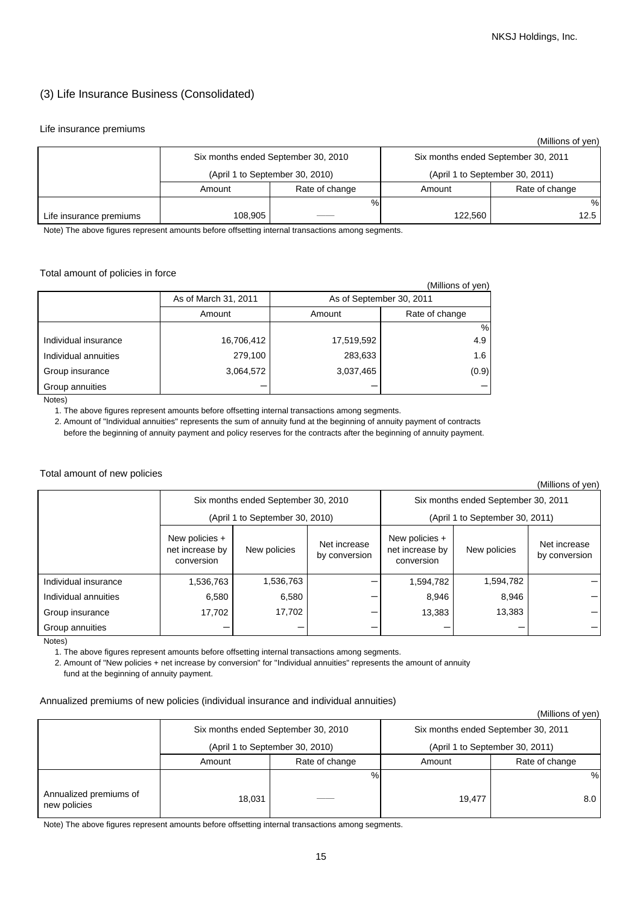## (3) Life Insurance Business (Consolidated)

#### Life insurance premiums

|                         |         |                                     |                                     | (Millions of yen) |  |
|-------------------------|---------|-------------------------------------|-------------------------------------|-------------------|--|
|                         |         | Six months ended September 30, 2010 | Six months ended September 30, 2011 |                   |  |
|                         |         | (April 1 to September 30, 2010)     | (April 1 to September 30, 2011)     |                   |  |
|                         | Amount  | Rate of change                      | Amount                              | Rate of change    |  |
|                         |         | %                                   |                                     | %                 |  |
| Life insurance premiums | 108,905 |                                     | 122.560                             | 12.5              |  |

Note) The above figures represent amounts before offsetting internal transactions among segments.

### Total amount of policies in force

|                      |                      |                          | (Millions of yen) |
|----------------------|----------------------|--------------------------|-------------------|
|                      | As of March 31, 2011 | As of September 30, 2011 |                   |
|                      | Amount               | Amount                   | Rate of change    |
|                      |                      |                          | %                 |
| Individual insurance | 16,706,412           | 17,519,592               | 4.9               |
| Individual annuities | 279,100              | 283,633                  | 1.6               |
| Group insurance      | 3,064,572            | 3,037,465                | (0.9)             |
| Group annuities      |                      |                          |                   |

Notes)

1. The above figures represent amounts before offsetting internal transactions among segments.

 2. Amount of "Individual annuities" represents the sum of annuity fund at the beginning of annuity payment of contracts before the beginning of annuity payment and policy reserves for the contracts after the beginning of annuity payment.

#### Total amount of new policies

(Millions of yen)

|                      | Six months ended September 30, 2010                             |           |                               | Six months ended September 30, 2011             |                                 |                               |  |
|----------------------|-----------------------------------------------------------------|-----------|-------------------------------|-------------------------------------------------|---------------------------------|-------------------------------|--|
|                      | (April 1 to September 30, 2010)                                 |           |                               |                                                 | (April 1 to September 30, 2011) |                               |  |
|                      | New policies +<br>net increase by<br>New policies<br>conversion |           | Net increase<br>by conversion | New policies +<br>net increase by<br>conversion | New policies                    | Net increase<br>by conversion |  |
| Individual insurance | 1,536,763                                                       | 1,536,763 |                               | 1,594,782                                       | 1,594,782                       |                               |  |
| Individual annuities | 6,580                                                           | 6,580     |                               | 8,946                                           | 8,946                           |                               |  |
| Group insurance      | 17,702                                                          | 17,702    |                               | 13,383                                          | 13,383                          |                               |  |
| Group annuities      |                                                                 |           |                               |                                                 |                                 |                               |  |

Notes)

1. The above figures represent amounts before offsetting internal transactions among segments.

2. Amount of "New policies + net increase by conversion" for "Individual annuities" represents the amount of annuity

fund at the beginning of annuity payment.

### Annualized premiums of new policies (individual insurance and individual annuities)

#### (Millions of yen)

|                                        |        |                                     |                                                                        | .              |  |  |
|----------------------------------------|--------|-------------------------------------|------------------------------------------------------------------------|----------------|--|--|
|                                        |        | Six months ended September 30, 2010 | Six months ended September 30, 2011<br>(April 1 to September 30, 2011) |                |  |  |
|                                        |        | (April 1 to September 30, 2010)     |                                                                        |                |  |  |
|                                        | Amount | Rate of change                      | Amount                                                                 | Rate of change |  |  |
|                                        |        | %                                   |                                                                        | %              |  |  |
| Annualized premiums of<br>new policies | 18,031 |                                     | 19.477                                                                 | 8.0            |  |  |

Note) The above figures represent amounts before offsetting internal transactions among segments.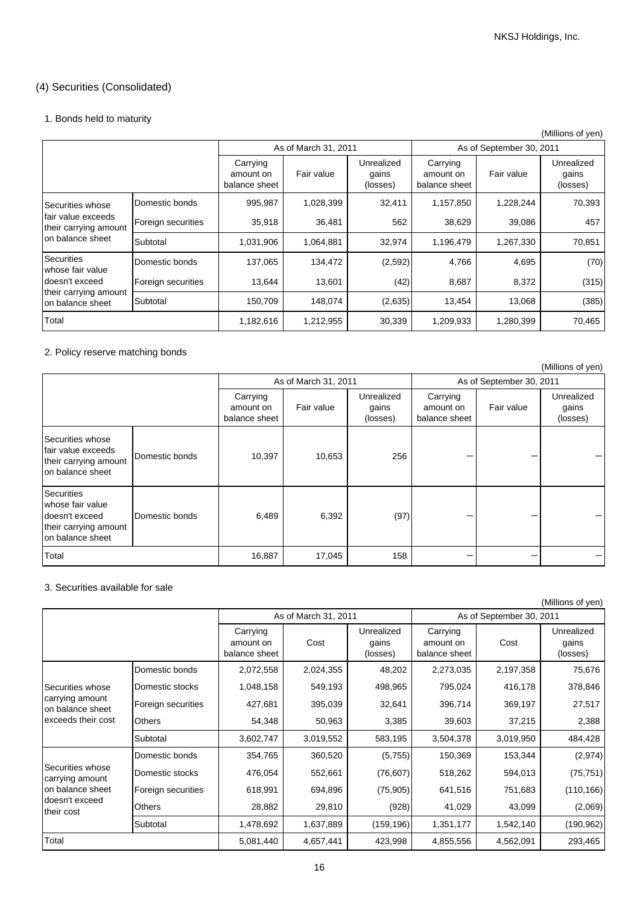## (4) Securities (Consolidated)

## 1. Bonds held to maturity

|                                             |                    |                                        |                      |                                 |                                        |                          | (Millions of yen)               |
|---------------------------------------------|--------------------|----------------------------------------|----------------------|---------------------------------|----------------------------------------|--------------------------|---------------------------------|
|                                             |                    |                                        | As of March 31, 2011 |                                 |                                        | As of September 30, 2011 |                                 |
|                                             |                    | Carrying<br>amount on<br>balance sheet | Fair value           | Unrealized<br>gains<br>(losses) | Carrying<br>amount on<br>balance sheet | Fair value               | Unrealized<br>gains<br>(losses) |
| Securities whose                            | Domestic bonds     | 995,987                                | 1,028,399            | 32,411                          | 1,157,850                              | 1,228,244                | 70,393                          |
| fair value exceeds<br>their carrying amount | Foreign securities | 35,918                                 | 36,481               | 562                             | 38,629                                 | 39,086                   | 457                             |
| on balance sheet                            | Subtotal           | 1,031,906                              | 1,064,881            | 32,974                          | 1,196,479                              | 1,267,330                | 70,851                          |
| <b>Securities</b><br>whose fair value       | Domestic bonds     | 137,065                                | 134,472              | (2,592)                         | 4,766                                  | 4,695                    | (70)                            |
| doesn't exceed                              | Foreign securities | 13,644                                 | 13,601               | (42)                            | 8,687                                  | 8,372                    | (315)                           |
| their carrying amount<br>on balance sheet   | Subtotal           | 150,709                                | 148,074              | (2,635)                         | 13,454                                 | 13,068                   | (385)                           |
| Total                                       |                    | 1,182,616                              | 1,212,955            | 30,339                          | 1,209,933                              | 1,280,399                | 70,465                          |

## 2. Policy reserve matching bonds

|                                                                                                      |                |                                        |                      |                                 |                                        |                          | (Millions of yen)               |  |  |
|------------------------------------------------------------------------------------------------------|----------------|----------------------------------------|----------------------|---------------------------------|----------------------------------------|--------------------------|---------------------------------|--|--|
|                                                                                                      |                |                                        | As of March 31, 2011 |                                 |                                        | As of September 30, 2011 |                                 |  |  |
|                                                                                                      |                | Carrying<br>amount on<br>balance sheet | Fair value           | Unrealized<br>gains<br>(losses) | Carrying<br>amount on<br>balance sheet | Fair value               | Unrealized<br>gains<br>(losses) |  |  |
| Securities whose<br>fair value exceeds<br>their carrying amount<br>on balance sheet                  | Domestic bonds | 10,397                                 | 10,653               | 256                             |                                        |                          |                                 |  |  |
| <b>Securities</b><br>whose fair value<br>doesn't exceed<br>their carrying amount<br>on balance sheet | Domestic bonds | 6,489                                  | 6,392                | (97)                            |                                        |                          |                                 |  |  |
| Total                                                                                                |                | 16,887                                 | 17,045               | 158                             |                                        |                          |                                 |  |  |

### 3. Securities available for sale

|                                     |                    |                                        |                      |                                 |                                        |           | (Millions of yen)               |  |
|-------------------------------------|--------------------|----------------------------------------|----------------------|---------------------------------|----------------------------------------|-----------|---------------------------------|--|
|                                     |                    |                                        | As of March 31, 2011 |                                 | As of September 30, 2011               |           |                                 |  |
|                                     |                    | Carrying<br>amount on<br>balance sheet | Cost                 | Unrealized<br>gains<br>(losses) | Carrying<br>amount on<br>balance sheet | Cost      | Unrealized<br>gains<br>(losses) |  |
|                                     | Domestic bonds     | 2,072,558                              | 2,024,355            | 48,202                          | 2,273,035                              | 2,197,358 | 75,676                          |  |
| Securities whose                    | Domestic stocks    | 1,048,158                              | 549,193              | 498,965                         | 795,024                                | 416,178   | 378,846                         |  |
| carrying amount<br>on balance sheet | Foreign securities | 427,681                                | 395,039              | 32,641                          | 396,714                                | 369,197   | 27,517                          |  |
| exceeds their cost                  | <b>Others</b>      | 54,348                                 | 50,963               | 3,385                           | 39,603                                 | 37,215    | 2,388                           |  |
|                                     | Subtotal           | 3,602,747                              | 3,019,552            | 583,195                         | 3,504,378                              | 3,019,950 | 484,428                         |  |
|                                     | Domestic bonds     | 354,765                                | 360,520              | (5,755)                         | 150,369                                | 153,344   | (2,974)                         |  |
| Securities whose<br>carrying amount | Domestic stocks    | 476,054                                | 552,661              | (76, 607)                       | 518,262                                | 594,013   | (75, 751)                       |  |
| on balance sheet                    | Foreign securities | 618,991                                | 694,896              | (75, 905)                       | 641,516                                | 751,683   | (110, 166)                      |  |
| doesn't exceed<br>their cost        | <b>Others</b>      | 28,882                                 | 29,810               | (928)                           | 41,029                                 | 43,099    | (2,069)                         |  |
|                                     | Subtotal           | 1,478,692                              | 1,637,889            | (159, 196)                      | 1,351,177                              | 1,542,140 | (190,962)                       |  |
| Total                               |                    | 5,081,440                              | 4,657,441            | 423,998                         | 4,855,556                              | 4,562,091 | 293,465                         |  |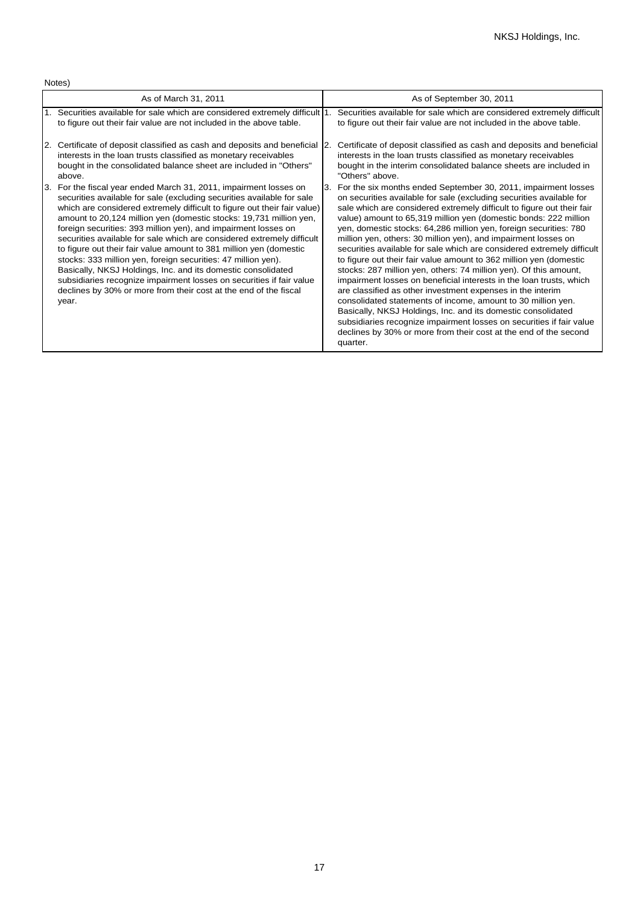Notes)

| As of March 31, 2011                                                                                                                                                                                                                                                                                                                                                                                                                                                                                                                                                                                                                                                                                                                                                                                  | As of September 30, 2011                                                                                                                                                                                                                                                                                                                                                                                                                                                                                                                                                                                                                                                                                                                                                                                                                                                                                                                                                                                                                                                         |
|-------------------------------------------------------------------------------------------------------------------------------------------------------------------------------------------------------------------------------------------------------------------------------------------------------------------------------------------------------------------------------------------------------------------------------------------------------------------------------------------------------------------------------------------------------------------------------------------------------------------------------------------------------------------------------------------------------------------------------------------------------------------------------------------------------|----------------------------------------------------------------------------------------------------------------------------------------------------------------------------------------------------------------------------------------------------------------------------------------------------------------------------------------------------------------------------------------------------------------------------------------------------------------------------------------------------------------------------------------------------------------------------------------------------------------------------------------------------------------------------------------------------------------------------------------------------------------------------------------------------------------------------------------------------------------------------------------------------------------------------------------------------------------------------------------------------------------------------------------------------------------------------------|
| 1. Securities available for sale which are considered extremely difficult 1.                                                                                                                                                                                                                                                                                                                                                                                                                                                                                                                                                                                                                                                                                                                          | Securities available for sale which are considered extremely difficult                                                                                                                                                                                                                                                                                                                                                                                                                                                                                                                                                                                                                                                                                                                                                                                                                                                                                                                                                                                                           |
| to figure out their fair value are not included in the above table.                                                                                                                                                                                                                                                                                                                                                                                                                                                                                                                                                                                                                                                                                                                                   | to figure out their fair value are not included in the above table.                                                                                                                                                                                                                                                                                                                                                                                                                                                                                                                                                                                                                                                                                                                                                                                                                                                                                                                                                                                                              |
| Certificate of deposit classified as cash and deposits and beneficial                                                                                                                                                                                                                                                                                                                                                                                                                                                                                                                                                                                                                                                                                                                                 | Certificate of deposit classified as cash and deposits and beneficial                                                                                                                                                                                                                                                                                                                                                                                                                                                                                                                                                                                                                                                                                                                                                                                                                                                                                                                                                                                                            |
| <b>2.</b>                                                                                                                                                                                                                                                                                                                                                                                                                                                                                                                                                                                                                                                                                                                                                                                             | 12.                                                                                                                                                                                                                                                                                                                                                                                                                                                                                                                                                                                                                                                                                                                                                                                                                                                                                                                                                                                                                                                                              |
| interests in the loan trusts classified as monetary receivables                                                                                                                                                                                                                                                                                                                                                                                                                                                                                                                                                                                                                                                                                                                                       | interests in the loan trusts classified as monetary receivables                                                                                                                                                                                                                                                                                                                                                                                                                                                                                                                                                                                                                                                                                                                                                                                                                                                                                                                                                                                                                  |
| bought in the consolidated balance sheet are included in "Others"                                                                                                                                                                                                                                                                                                                                                                                                                                                                                                                                                                                                                                                                                                                                     | bought in the interim consolidated balance sheets are included in                                                                                                                                                                                                                                                                                                                                                                                                                                                                                                                                                                                                                                                                                                                                                                                                                                                                                                                                                                                                                |
| above.                                                                                                                                                                                                                                                                                                                                                                                                                                                                                                                                                                                                                                                                                                                                                                                                | "Others" above.                                                                                                                                                                                                                                                                                                                                                                                                                                                                                                                                                                                                                                                                                                                                                                                                                                                                                                                                                                                                                                                                  |
| 3. For the fiscal year ended March 31, 2011, impairment losses on<br>securities available for sale (excluding securities available for sale<br>which are considered extremely difficult to figure out their fair value)<br>amount to 20,124 million yen (domestic stocks: 19,731 million yen,<br>foreign securities: 393 million yen), and impairment losses on<br>securities available for sale which are considered extremely difficult<br>to figure out their fair value amount to 381 million yen (domestic<br>stocks: 333 million yen, foreign securities: 47 million yen).<br>Basically, NKSJ Holdings, Inc. and its domestic consolidated<br>subsidiaries recognize impairment losses on securities if fair value<br>declines by 30% or more from their cost at the end of the fiscal<br>year. | 3. For the six months ended September 30, 2011, impairment losses<br>on securities available for sale (excluding securities available for<br>sale which are considered extremely difficult to figure out their fair<br>value) amount to 65,319 million yen (domestic bonds: 222 million<br>yen, domestic stocks: 64,286 million yen, foreign securities: 780<br>million yen, others: 30 million yen), and impairment losses on<br>securities available for sale which are considered extremely difficult<br>to figure out their fair value amount to 362 million yen (domestic<br>stocks: 287 million yen, others: 74 million yen). Of this amount,<br>impairment losses on beneficial interests in the loan trusts, which<br>are classified as other investment expenses in the interim<br>consolidated statements of income, amount to 30 million yen.<br>Basically, NKSJ Holdings, Inc. and its domestic consolidated<br>subsidiaries recognize impairment losses on securities if fair value<br>declines by 30% or more from their cost at the end of the second<br>quarter. |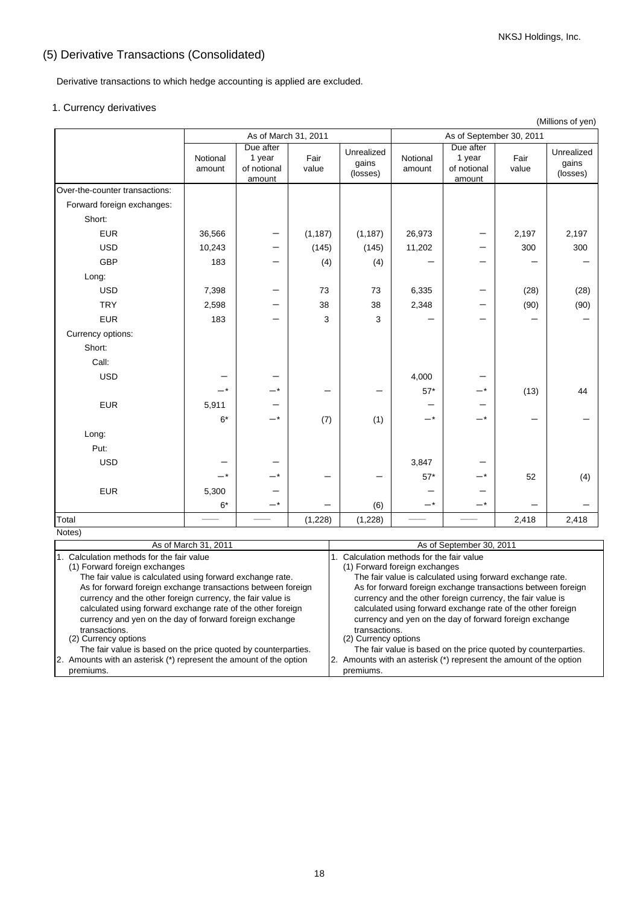# (5) Derivative Transactions (Consolidated)

Derivative transactions to which hedge accounting is applied are excluded.

### 1. Currency derivatives

|                                | As of March 31, 2011 |                                 |               |                                 |                                       |                                 |               | (                               |
|--------------------------------|----------------------|---------------------------------|---------------|---------------------------------|---------------------------------------|---------------------------------|---------------|---------------------------------|
|                                |                      | Due after                       |               |                                 | As of September 30, 2011<br>Due after |                                 |               |                                 |
|                                | Notional<br>amount   | 1 year<br>of notional<br>amount | Fair<br>value | Unrealized<br>gains<br>(losses) | Notional<br>amount                    | 1 year<br>of notional<br>amount | Fair<br>value | Unrealized<br>gains<br>(losses) |
| Over-the-counter transactions: |                      |                                 |               |                                 |                                       |                                 |               |                                 |
| Forward foreign exchanges:     |                      |                                 |               |                                 |                                       |                                 |               |                                 |
| Short:                         |                      |                                 |               |                                 |                                       |                                 |               |                                 |
| <b>EUR</b>                     | 36,566               | —                               | (1, 187)      | (1, 187)                        | 26,973                                |                                 | 2,197         | 2,197                           |
| <b>USD</b>                     | 10,243               |                                 | (145)         | (145)                           | 11,202                                |                                 | 300           | 300                             |
| <b>GBP</b>                     | 183                  |                                 | (4)           | (4)                             |                                       |                                 |               |                                 |
| Long:                          |                      |                                 |               |                                 |                                       |                                 |               |                                 |
| <b>USD</b>                     | 7,398                |                                 | 73            | 73                              | 6,335                                 |                                 | (28)          | (28)                            |
| <b>TRY</b>                     | 2,598                |                                 | 38            | 38                              | 2,348                                 |                                 | (90)          | (90)                            |
| <b>EUR</b>                     | 183                  |                                 | 3             | 3                               |                                       |                                 |               |                                 |
| Currency options:              |                      |                                 |               |                                 |                                       |                                 |               |                                 |
| Short:                         |                      |                                 |               |                                 |                                       |                                 |               |                                 |
| Call:                          |                      |                                 |               |                                 |                                       |                                 |               |                                 |
| <b>USD</b>                     |                      |                                 |               |                                 | 4,000                                 |                                 |               |                                 |
|                                | —*                   |                                 |               |                                 | $57*$                                 |                                 | (13)          | 44                              |
| <b>EUR</b>                     | 5,911                |                                 |               |                                 |                                       |                                 |               |                                 |
|                                | $6*$                 | -*                              | (7)           | (1)                             | $-*$                                  | $-*$                            |               |                                 |
| Long:                          |                      |                                 |               |                                 |                                       |                                 |               |                                 |
| Put:                           |                      |                                 |               |                                 |                                       |                                 |               |                                 |
| <b>USD</b>                     |                      |                                 |               |                                 | 3,847                                 |                                 |               |                                 |
|                                | -*                   | _*                              |               |                                 | $57*$                                 |                                 | 52            | (4)                             |
| <b>EUR</b>                     | 5,300                |                                 |               |                                 |                                       |                                 |               |                                 |
|                                | $6*$                 | -*                              |               | (6)                             | $-*$                                  | $-*$                            |               |                                 |
| Total                          |                      |                                 | (1,228)       | (1,228)                         |                                       |                                 | 2,418         | 2,418                           |
| Notes)                         |                      |                                 |               |                                 |                                       |                                 | 00.001        |                                 |

| As of March 31, 2011                                                                                                                                                                                                                                 | As of September 30, 2011                                                                                                                                                                                                                             |
|------------------------------------------------------------------------------------------------------------------------------------------------------------------------------------------------------------------------------------------------------|------------------------------------------------------------------------------------------------------------------------------------------------------------------------------------------------------------------------------------------------------|
| 1. Calculation methods for the fair value                                                                                                                                                                                                            | Calculation methods for the fair value                                                                                                                                                                                                               |
| (1) Forward foreign exchanges                                                                                                                                                                                                                        | (1) Forward foreign exchanges                                                                                                                                                                                                                        |
| The fair value is calculated using forward exchange rate.                                                                                                                                                                                            | The fair value is calculated using forward exchange rate.                                                                                                                                                                                            |
| As for forward foreign exchange transactions between foreign<br>currency and the other foreign currency, the fair value is<br>calculated using forward exchange rate of the other foreign<br>currency and yen on the day of forward foreign exchange | As for forward foreign exchange transactions between foreign<br>currency and the other foreign currency, the fair value is<br>calculated using forward exchange rate of the other foreign<br>currency and yen on the day of forward foreign exchange |
| transactions.                                                                                                                                                                                                                                        | transactions.                                                                                                                                                                                                                                        |
| (2) Currency options                                                                                                                                                                                                                                 | (2) Currency options                                                                                                                                                                                                                                 |
| The fair value is based on the price quoted by counterparties.                                                                                                                                                                                       | The fair value is based on the price quoted by counterparties.                                                                                                                                                                                       |
| 2. Amounts with an asterisk (*) represent the amount of the option                                                                                                                                                                                   | 2. Amounts with an asterisk (*) represent the amount of the option                                                                                                                                                                                   |
| premiums.                                                                                                                                                                                                                                            | premiums.                                                                                                                                                                                                                                            |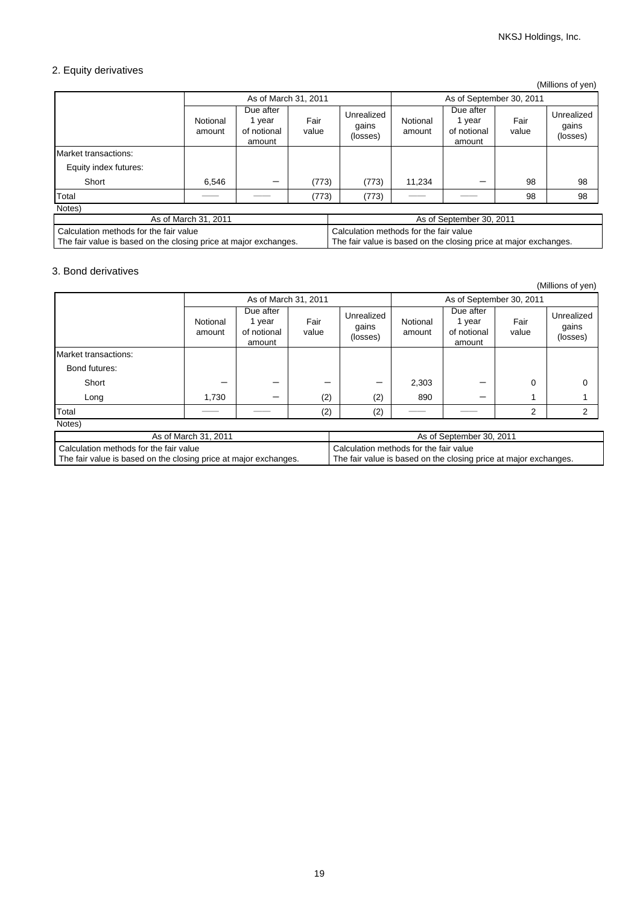# 2. Equity derivatives

(Millions of yen)

|                       |                                   |                                              |               |                                 |                          |                                            |               | ---                             |
|-----------------------|-----------------------------------|----------------------------------------------|---------------|---------------------------------|--------------------------|--------------------------------------------|---------------|---------------------------------|
|                       | As of March 31, 2011              |                                              |               |                                 | As of September 30, 2011 |                                            |               |                                 |
|                       | Notional<br>amount                | Due after<br>1 year<br>of notional<br>amount | Fair<br>value | Unrealized<br>gains<br>(losses) | Notional<br>amount       | Due after<br>year<br>of notional<br>amount | Fair<br>value | Unrealized<br>gains<br>(losses) |
| Market transactions:  |                                   |                                              |               |                                 |                          |                                            |               |                                 |
| Equity index futures: |                                   |                                              |               |                                 |                          |                                            |               |                                 |
| Short                 | 6,546                             | –                                            | (773)         | (773)                           | 11,234                   |                                            | 98            | 98                              |
| Total                 |                                   |                                              | (773)         | (773)                           |                          |                                            | 98            | 98                              |
| Notes)                |                                   |                                              |               |                                 |                          |                                            |               |                                 |
|                       | $A = \{BA, \ldots, A, CA, A, A\}$ |                                              |               |                                 |                          | $A = \{A, C, \ldots, C, C, C, C, C, A\}$   |               |                                 |

| As of March 31, 2011                                             | As of September 30, 2011                                         |
|------------------------------------------------------------------|------------------------------------------------------------------|
| l Calculation methods for the fair value                         | Calculation methods for the fair value                           |
| The fair value is based on the closing price at major exchanges. | The fair value is based on the closing price at major exchanges. |

### 3. Bond derivatives

(Millions of yen)

|                                                                                                            | As of March 31, 2011 |                                              |               |                                                                                                            | As of September 30, 2011 |                                              |               |                                 |
|------------------------------------------------------------------------------------------------------------|----------------------|----------------------------------------------|---------------|------------------------------------------------------------------------------------------------------------|--------------------------|----------------------------------------------|---------------|---------------------------------|
|                                                                                                            | Notional<br>amount   | Due after<br>1 year<br>of notional<br>amount | Fair<br>value | Unrealized<br>gains<br>(losses)                                                                            | Notional<br>amount       | Due after<br>1 year<br>of notional<br>amount | Fair<br>value | Unrealized<br>gains<br>(losses) |
| Market transactions:                                                                                       |                      |                                              |               |                                                                                                            |                          |                                              |               |                                 |
| Bond futures:                                                                                              |                      |                                              |               |                                                                                                            |                          |                                              |               |                                 |
| Short                                                                                                      |                      |                                              |               |                                                                                                            | 2,303                    |                                              | $\Omega$      | ∩                               |
| Long                                                                                                       | 1,730                | –                                            | (2)           | (2)                                                                                                        | 890                      |                                              |               |                                 |
| Total                                                                                                      |                      |                                              | (2)           | (2)                                                                                                        |                          |                                              | 2             | 2                               |
| Notes)                                                                                                     |                      |                                              |               |                                                                                                            |                          |                                              |               |                                 |
| As of March 31, 2011                                                                                       |                      |                                              |               | As of September 30, 2011                                                                                   |                          |                                              |               |                                 |
| Calculation methods for the fair value<br>The fair value is based on the closing price at major exchanges. |                      |                                              |               | Calculation methods for the fair value<br>The fair value is based on the closing price at major exchanges. |                          |                                              |               |                                 |